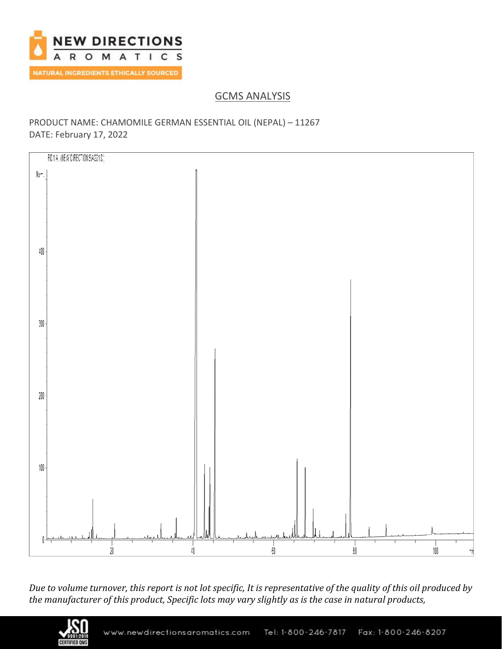

# GCMS ANALYSIS

### PRODUCT NAME: CHAMOMILE GERMAN ESSENTIAL OIL (NEPAL) – 11267 DATE: February 17, 2022



*Due to volume turnover, this report is not lot specific, It is representative of the quality of this oil produced by the manufacturer of this product, Specific lots may vary slightly as is the case in natural products,*

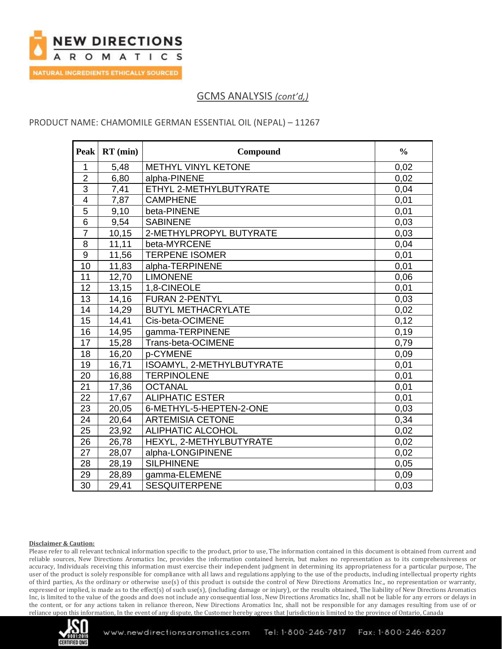

### PRODUCT NAME: CHAMOMILE GERMAN ESSENTIAL OIL (NEPAL) – 11267

| <b>Peak</b>      | $RT$ (min) | Compound                   | $\frac{0}{0}$ |
|------------------|------------|----------------------------|---------------|
| $\mathbf{1}$     | 5,48       | <b>METHYL VINYL KETONE</b> | 0,02          |
| $\overline{2}$   | 6,80       | alpha-PINENE               | 0,02          |
| $\overline{3}$   | 7,41       | ETHYL 2-METHYLBUTYRATE     | 0,04          |
| $\overline{4}$   | 7,87       | <b>CAMPHENE</b>            | 0,01          |
| $\overline{5}$   | 9,10       | beta-PINENE                | 0,01          |
| $6\phantom{1}$   | 9,54       | <b>SABINENE</b>            | 0,03          |
| $\overline{7}$   | 10, 15     | 2-METHYLPROPYL BUTYRATE    | 0,03          |
| 8                | 11,11      | beta-MYRCENE               | 0,04          |
| $\boldsymbol{9}$ | 11,56      | <b>TERPENE ISOMER</b>      | 0,01          |
| 10               | 11,83      | alpha-TERPINENE            | 0,01          |
| 11               | 12,70      | <b>LIMONENE</b>            | 0,06          |
| 12               | 13,15      | 1,8-CINEOLE                | 0,01          |
| 13               | 14,16      | <b>FURAN 2-PENTYL</b>      | 0,03          |
| $\overline{14}$  | 14,29      | <b>BUTYL METHACRYLATE</b>  | 0,02          |
| 15               | 14,41      | Cis-beta-OCIMENE           | 0,12          |
| 16               | 14,95      | gamma-TERPINENE            | 0,19          |
| 17               | 15,28      | Trans-beta-OCIMENE         | 0,79          |
| 18               | 16,20      | p-CYMENE                   | 0,09          |
| 19               | 16,71      | ISOAMYL, 2-METHYLBUTYRATE  | 0,01          |
| 20               | 16,88      | <b>TERPINOLENE</b>         | 0,01          |
| 21               | 17,36      | <b>OCTANAL</b>             | 0,01          |
| $\overline{22}$  | 17,67      | <b>ALIPHATIC ESTER</b>     | 0,01          |
| 23               | 20,05      | 6-METHYL-5-HEPTEN-2-ONE    | 0,03          |
| 24               | 20,64      | <b>ARTEMISIA CETONE</b>    | 0,34          |
| 25               | 23,92      | <b>ALIPHATIC ALCOHOL</b>   | 0,02          |
| 26               | 26,78      | HEXYL, 2-METHYLBUTYRATE    | 0,02          |
| 27               | 28,07      | alpha-LONGIPINENE          | 0,02          |
| 28               | 28,19      | <b>SILPHINENE</b>          | 0,05          |
| 29               | 28,89      | gamma-ELEMENE              | 0,09          |
| 30               | 29,41      | <b>SESQUITERPENE</b>       | 0,03          |

#### **Disclaimer & Caution:**

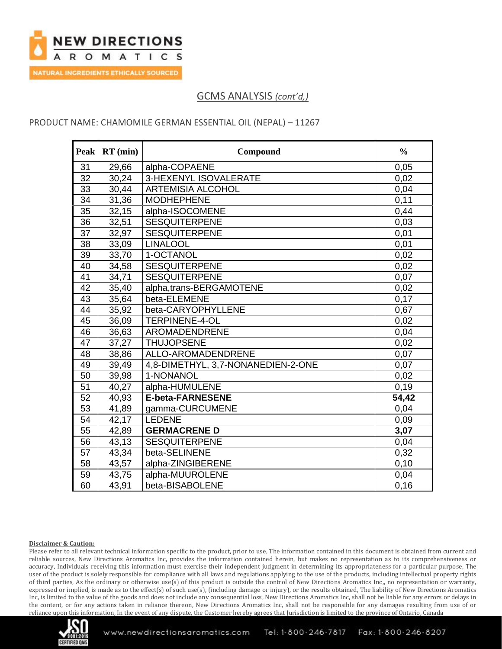

### PRODUCT NAME: CHAMOMILE GERMAN ESSENTIAL OIL (NEPAL) – 11267

| <b>Peak</b>     | $RT$ (min) | Compound                           | $\frac{0}{0}$ |
|-----------------|------------|------------------------------------|---------------|
| 31              | 29,66      | alpha-COPAENE                      | 0,05          |
| 32              | 30,24      | 3-HEXENYL ISOVALERATE              | 0,02          |
| 33              | 30,44      | <b>ARTEMISIA ALCOHOL</b>           | 0,04          |
| $\overline{34}$ | 31,36      | <b>MODHEPHENE</b>                  | 0,11          |
| 35              | 32,15      | alpha-ISOCOMENE                    | 0,44          |
| 36              | 32,51      | <b>SESQUITERPENE</b>               | 0,03          |
| 37              | 32,97      | <b>SESQUITERPENE</b>               | 0,01          |
| 38              | 33,09      | <b>LINALOOL</b>                    | 0,01          |
| 39              | 33,70      | 1-OCTANOL                          | 0,02          |
| 40              | 34,58      | <b>SESQUITERPENE</b>               | 0,02          |
| 41              | 34,71      | <b>SESQUITERPENE</b>               | 0,07          |
| 42              | 35,40      | alpha,trans-BERGAMOTENE            | 0,02          |
| 43              | 35,64      | beta-ELEMENE                       | 0,17          |
| 44              | 35,92      | beta-CARYOPHYLLENE                 | 0,67          |
| 45              | 36,09      | <b>TERPINENE-4-OL</b>              | 0,02          |
| 46              | 36,63      | AROMADENDRENE                      | 0,04          |
| 47              | 37,27      | <b>THUJOPSENE</b>                  | 0,02          |
| 48              | 38,86      | ALLO-AROMADENDRENE                 | 0,07          |
| 49              | 39,49      | 4,8-DIMETHYL, 3,7-NONANEDIEN-2-ONE | 0,07          |
| $\overline{50}$ | 39,98      | 1-NONANOL                          | 0,02          |
| 51              | 40,27      | alpha-HUMULENE                     | 0,19          |
| 52              | 40,93      | <b>E-beta-FARNESENE</b>            | 54,42         |
| 53              | 41,89      | gamma-CURCUMENE                    | 0,04          |
| 54              | 42,17      | LEDENE                             | 0,09          |
| 55              | 42,89      | <b>GERMACRENE D</b>                | 3,07          |
| 56              | 43,13      | <b>SESQUITERPENE</b>               | 0,04          |
| 57              | 43,34      | beta-SELINENE                      | 0,32          |
| 58              | 43,57      | alpha-ZINGIBERENE                  | 0,10          |
| 59              | 43,75      | alpha-MUUROLENE                    | 0,04          |
| 60              | 43,91      | beta-BISABOLENE                    | 0, 16         |

#### **Disclaimer & Caution:**

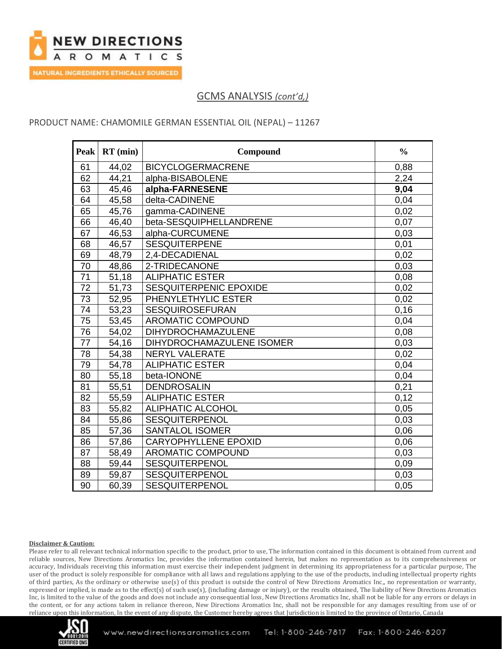

### PRODUCT NAME: CHAMOMILE GERMAN ESSENTIAL OIL (NEPAL) – 11267

| <b>Peak</b>     | $RT$ (min) | Compound                    | $\frac{0}{0}$ |
|-----------------|------------|-----------------------------|---------------|
| 61              | 44,02      | <b>BICYCLOGERMACRENE</b>    | 0,88          |
| 62              | 44,21      | alpha-BISABOLENE            | 2,24          |
| 63              | 45,46      | alpha-FARNESENE             | 9,04          |
| 64              | 45,58      | delta-CADINENE              | 0,04          |
| 65              | 45,76      | gamma-CADINENE              | 0,02          |
| 66              | 46,40      | beta-SESQUIPHELLANDRENE     | 0,07          |
| 67              | 46,53      | alpha-CURCUMENE             | 0,03          |
| 68              | 46,57      | <b>SESQUITERPENE</b>        | 0.01          |
| 69              | 48,79      | 2,4-DECADIENAL              | 0,02          |
| 70              | 48,86      | 2-TRIDECANONE               | 0,03          |
| $\overline{71}$ | 51,18      | <b>ALIPHATIC ESTER</b>      | 0,08          |
| 72              | 51,73      | SESQUITERPENIC EPOXIDE      | 0,02          |
| 73              | 52,95      | PHENYLETHYLIC ESTER         | 0,02          |
| 74              | 53,23      | <b>SESQUIROSEFURAN</b>      | 0,16          |
| 75              | 53,45      | <b>AROMATIC COMPOUND</b>    | 0,04          |
| 76              | 54,02      | DIHYDROCHAMAZULENE          | 0,08          |
| 77              | 54,16      | DIHYDROCHAMAZULENE ISOMER   | 0,03          |
| 78              | 54,38      | NERYL VALERATE              | 0,02          |
| 79              | 54,78      | <b>ALIPHATIC ESTER</b>      | 0,04          |
| 80              | 55,18      | beta-IONONE                 | 0,04          |
| 81              | 55,51      | <b>DENDROSALIN</b>          | 0.21          |
| 82              | 55,59      | <b>ALIPHATIC ESTER</b>      | 0,12          |
| 83              | 55,82      | <b>ALIPHATIC ALCOHOL</b>    | 0,05          |
| 84              | 55,86      | SESQUITERPENOL              | 0,03          |
| 85              | 57,36      | <b>SANTALOL ISOMER</b>      | 0,06          |
| 86              | 57,86      | <b>CARYOPHYLLENE EPOXID</b> | 0,06          |
| 87              | 58,49      | <b>AROMATIC COMPOUND</b>    | 0,03          |
| 88              | 59,44      | <b>SESQUITERPENOL</b>       | 0,09          |
| 89              | 59,87      | <b>SESQUITERPENOL</b>       | 0,03          |
| 90              | 60,39      | SESQUITERPENOL              | 0,05          |

#### **Disclaimer & Caution:**

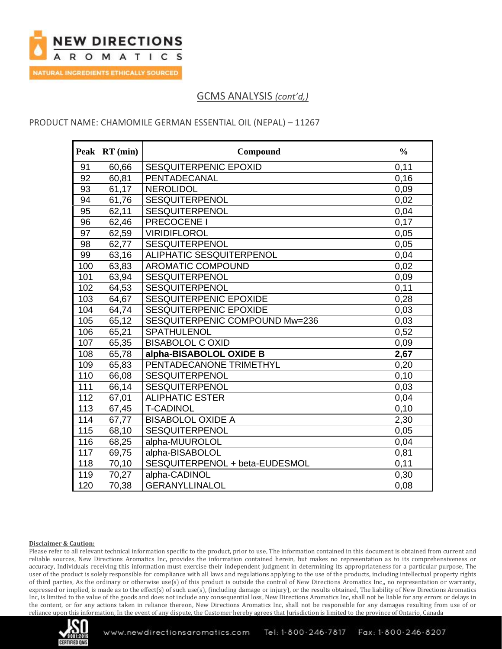

### PRODUCT NAME: CHAMOMILE GERMAN ESSENTIAL OIL (NEPAL) – 11267

| Peak | $RT$ (min) | Compound                       | $\frac{0}{0}$ |
|------|------------|--------------------------------|---------------|
| 91   | 60,66      | <b>SESQUITERPENIC EPOXID</b>   | 0,11          |
| 92   | 60,81      | PENTADECANAL                   | 0,16          |
| 93   | 61,17      | <b>NEROLIDOL</b>               | 0,09          |
| 94   | 61,76      | <b>SESQUITERPENOL</b>          | 0,02          |
| 95   | 62,11      | <b>SESQUITERPENOL</b>          | 0,04          |
| 96   | 62,46      | PRECOCENE I                    | 0,17          |
| 97   | 62,59      | <b>VIRIDIFLOROL</b>            | 0,05          |
| 98   | 62,77      | <b>SESQUITERPENOL</b>          | 0,05          |
| 99   | 63,16      | ALIPHATIC SESQUITERPENOL       | 0,04          |
| 100  | 63,83      | <b>AROMATIC COMPOUND</b>       | 0,02          |
| 101  | 63,94      | <b>SESQUITERPENOL</b>          | 0,09          |
| 102  | 64,53      | SESQUITERPENOL                 | 0,11          |
| 103  | 64,67      | SESQUITERPENIC EPOXIDE         | 0,28          |
| 104  | 64,74      | SESQUITERPENIC EPOXIDE         | 0,03          |
| 105  | 65,12      | SESQUITERPENIC COMPOUND Mw=236 | 0,03          |
| 106  | 65,21      | SPATHULENOL                    | 0,52          |
| 107  | 65,35      | <b>BISABOLOL C OXID</b>        | 0,09          |
| 108  | 65,78      | alpha-BISABOLOL OXIDE B        | 2,67          |
| 109  | 65,83      | PENTADECANONE TRIMETHYL        | 0,20          |
| 110  | 66,08      | <b>SESQUITERPENOL</b>          | 0,10          |
| 111  | 66,14      | SESQUITERPENOL                 | 0,03          |
| 112  | 67,01      | <b>ALIPHATIC ESTER</b>         | 0,04          |
| 113  | 67,45      | <b>T-CADINOL</b>               | 0,10          |
| 114  | 67,77      | <b>BISABOLOL OXIDE A</b>       | 2,30          |
| 115  | 68,10      | <b>SESQUITERPENOL</b>          | 0,05          |
| 116  | 68,25      | alpha-MUUROLOL                 | 0,04          |
| 117  | 69,75      | alpha-BISABOLOL                | 0,81          |
| 118  | 70,10      | SESQUITERPENOL + beta-EUDESMOL | 0,11          |
| 119  | 70,27      | alpha-CADINOL                  | 0,30          |
| 120  | 70,38      | <b>GERANYLLINALOL</b>          | 0,08          |

#### **Disclaimer & Caution:**